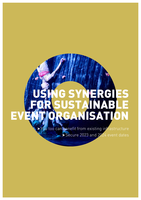# YNERGI FOR SUSTAINABLE EVENCIAL ISATION

> You too can benefit from existing infrastructure Secure 2023 and 2024 event dates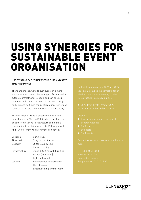## USING SYNERGIES FOR SUSTAINABLE EVENT **ORGANISATION**

### USE EXISTING EVENT INFRASTRUCTURE AND SAVE TIME AND MONEY

There are, indeed, ways to plan events in a more sustainable way. How? Use synergies. Formats with extensive infrastructure should and can be used much better in future. As a result, the long set-up and dismantling times can be streamlined better and reduced for projects that follow each other closely.

For this reason, we have already created a set of dates for you in 2023 and 2024, where you, too, can benefit from existing infrastructure and make a contribution to sustainable events. Below, you will find our offer from which everyone can benefit:

| Location:       | Curling hall                                   |
|-----------------|------------------------------------------------|
| Time period:    | 1 day (up to 14 hours)                         |
| Capacity:       | 200 to 2,400 people                            |
|                 | Concert seating                                |
| Infrastructure: | Stage $(20 \times 6 \text{ m})$ with furniture |
|                 | Screen $(16 \times 4.5 \text{ m})$             |
|                 | Light and sound                                |
| Optional:       | Simultaneous interpretation                    |
|                 | Hybrid format                                  |
|                 | Special seating arrangement                    |

- 
- 

- 
- 
- 
- 

BERNEXPO GROUPE